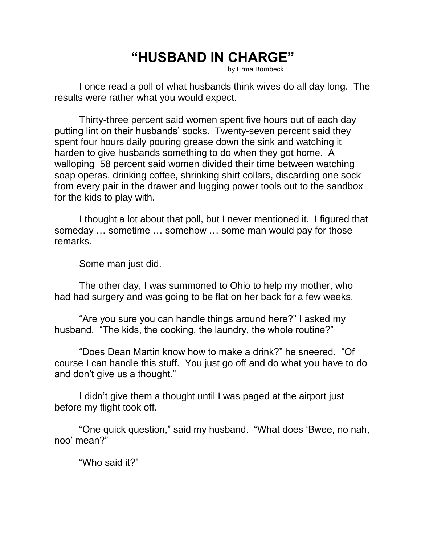## **"HUSBAND IN CHARGE"**

by Erma Bombeck

I once read a poll of what husbands think wives do all day long. The results were rather what you would expect.

Thirty-three percent said women spent five hours out of each day putting lint on their husbands' socks. Twenty-seven percent said they spent four hours daily pouring grease down the sink and watching it harden to give husbands something to do when they got home. A walloping 58 percent said women divided their time between watching soap operas, drinking coffee, shrinking shirt collars, discarding one sock from every pair in the drawer and lugging power tools out to the sandbox for the kids to play with.

I thought a lot about that poll, but I never mentioned it. I figured that someday … sometime … somehow … some man would pay for those remarks.

Some man just did.

The other day, I was summoned to Ohio to help my mother, who had had surgery and was going to be flat on her back for a few weeks.

"Are you sure you can handle things around here?" I asked my husband. "The kids, the cooking, the laundry, the whole routine?"

"Does Dean Martin know how to make a drink?" he sneered. "Of course I can handle this stuff. You just go off and do what you have to do and don't give us a thought."

I didn't give them a thought until I was paged at the airport just before my flight took off.

"One quick question," said my husband. "What does 'Bwee, no nah, noo' mean?"

"Who said it?"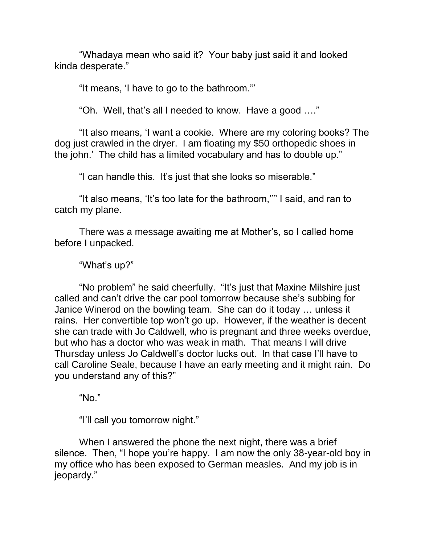"Whadaya mean who said it? Your baby just said it and looked kinda desperate."

"It means, 'I have to go to the bathroom.'"

"Oh. Well, that's all I needed to know. Have a good …."

"It also means, 'I want a cookie. Where are my coloring books? The dog just crawled in the dryer. I am floating my \$50 orthopedic shoes in the john.' The child has a limited vocabulary and has to double up."

"I can handle this. It's just that she looks so miserable."

"It also means, 'It's too late for the bathroom,''" I said, and ran to catch my plane.

There was a message awaiting me at Mother's, so I called home before I unpacked.

"What's up?"

"No problem" he said cheerfully. "It's just that Maxine Milshire just called and can't drive the car pool tomorrow because she's subbing for Janice Winerod on the bowling team. She can do it today … unless it rains. Her convertible top won't go up. However, if the weather is decent she can trade with Jo Caldwell, who is pregnant and three weeks overdue, but who has a doctor who was weak in math. That means I will drive Thursday unless Jo Caldwell's doctor lucks out. In that case I'll have to call Caroline Seale, because I have an early meeting and it might rain. Do you understand any of this?"

"No."

"I'll call you tomorrow night."

When I answered the phone the next night, there was a brief silence. Then, "I hope you're happy. I am now the only 38-year-old boy in my office who has been exposed to German measles. And my job is in jeopardy."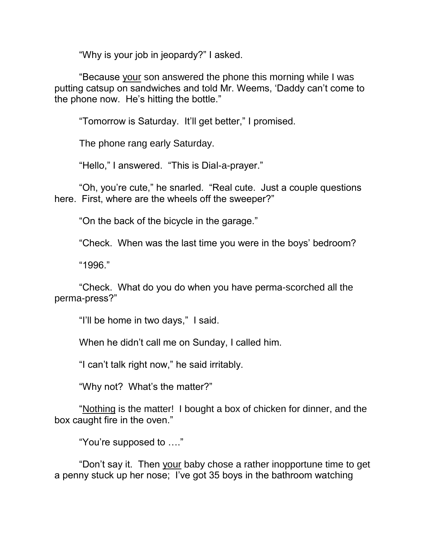"Why is your job in jeopardy?" I asked.

"Because your son answered the phone this morning while I was putting catsup on sandwiches and told Mr. Weems, 'Daddy can't come to the phone now. He's hitting the bottle."

"Tomorrow is Saturday. It'll get better," I promised.

The phone rang early Saturday.

"Hello," I answered. "This is Dial-a-prayer."

"Oh, you're cute," he snarled. "Real cute. Just a couple questions here. First, where are the wheels off the sweeper?"

"On the back of the bicycle in the garage."

"Check. When was the last time you were in the boys' bedroom?

"1996."

"Check. What do you do when you have perma-scorched all the perma-press?"

"I'll be home in two days," I said.

When he didn't call me on Sunday, I called him.

"I can't talk right now," he said irritably.

"Why not? What's the matter?"

"Nothing is the matter! I bought a box of chicken for dinner, and the box caught fire in the oven."

"You're supposed to …."

"Don't say it. Then your baby chose a rather inopportune time to get a penny stuck up her nose; I've got 35 boys in the bathroom watching